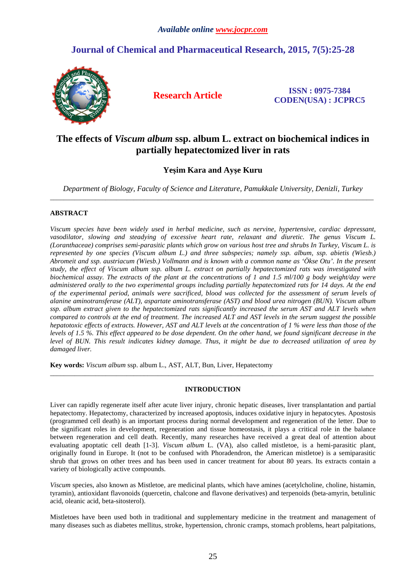# **Journal of Chemical and Pharmaceutical Research, 2015, 7(5):25-28**



**Research Article ISSN : 0975-7384 CODEN(USA) : JCPRC5**

# **The effects of** *Viscum album* **ssp. album L. extract on biochemical indices in partially hepatectomized liver in rats**

# **Yeşim Kara and Ayşe Kuru**

*Department of Biology, Faculty of Science and Literature, Pamukkale University, Denizli, Turkey*  \_\_\_\_\_\_\_\_\_\_\_\_\_\_\_\_\_\_\_\_\_\_\_\_\_\_\_\_\_\_\_\_\_\_\_\_\_\_\_\_\_\_\_\_\_\_\_\_\_\_\_\_\_\_\_\_\_\_\_\_\_\_\_\_\_\_\_\_\_\_\_\_\_\_\_\_\_\_\_\_\_\_\_\_\_\_\_\_\_\_\_\_\_

## **ABSTRACT**

*Viscum species have been widely used in herbal medicine, such as nervine, hypertensive, cardiac depressant, vasodilator, slowing and steadying of excessive heart rate, relaxant and diuretic. The genus Viscum L. (Loranthaceae) comprises semi-parasitic plants which grow on various host tree and shrubs In Turkey, Viscum L. is represented by one species (Viscum album L.) and three subspecies; namely ssp. album, ssp. abietis (Wiesb.) Abromeit and ssp. austriacum (Wiesb.) Vollmann and is known with a common name as 'Ökse Otu'. In the present study, the effect of Viscum album ssp. album L. extract on partially hepatectomized rats was investigated with biochemical assay. The extracts of the plant at the concentrations of 1 and 1.5 ml/100 g body weight/day were administered orally to the two experimental groups including partially hepatectomized rats for 14 days. At the end of the experimental period, animals were sacrificed, blood was collected for the assessment of serum levels of alanine aminotransferase (ALT), aspartate aminotransferase (AST) and blood urea nitrogen (BUN). Viscum album ssp. album extract given to the hepatectomized rats significantly increased the serum AST and ALT levels when compared to controls at the end of treatment. The increased ALT and AST levels in the serum suggest the possible hepatotoxic effects of extracts. However, AST and ALT levels at the concentration of 1 % were less than those of the levels of 1.5 %. This effect appeared to be dose dependent. On the other hand, we found significant decrease in the level of BUN. This result indicates kidney damage. Thus, it might be due to decreased utilization of urea by damaged liver.* 

**Key words:** *Viscum album* ssp. album L., AST, ALT, Bun, Liver, Hepatectomy

### **INTRODUCTION**

\_\_\_\_\_\_\_\_\_\_\_\_\_\_\_\_\_\_\_\_\_\_\_\_\_\_\_\_\_\_\_\_\_\_\_\_\_\_\_\_\_\_\_\_\_\_\_\_\_\_\_\_\_\_\_\_\_\_\_\_\_\_\_\_\_\_\_\_\_\_\_\_\_\_\_\_\_\_\_\_\_\_\_\_\_\_\_\_\_\_\_\_\_

Liver can rapidly regenerate itself after acute liver injury, chronic hepatic diseases, liver transplantation and partial hepatectomy. Hepatectomy, characterized by increased apoptosis, induces oxidative injury in hepatocytes. Apostosis (programmed cell death) is an important process during normal development and regeneration of the letter. Due to the significant roles in development, regeneration and tissue homeostasis, it plays a critical role in the balance between regeneration and cell death. Recently, many researches have received a great deal of attention about evaluating apoptatic cell death [1-3]. *Viscum album* L. (VA), also called mistletoe, is a hemi-parasitic plant, originally found in Europe. It (not to be confused with Phoradendron, the American mistletoe) is a semiparasitic shrub that grows on other trees and has been used in cancer treatment for about 80 years. Its extracts contain a variety of biologically active compounds.

*Viscum* species, also known as Mistletoe, are medicinal plants, which have amines (acetylcholine, choline, histamin, tyramin), antioxidant flavonoids (quercetin, chalcone and flavone derivatives) and terpenoids (beta-amyrin, betulinic acid, oleanic acid, beta-sitosterol).

Mistletoes have been used both in traditional and supplementary medicine in the treatment and management of many diseases such as diabetes mellitus, stroke, hypertension, chronic cramps, stomach problems, heart palpitations,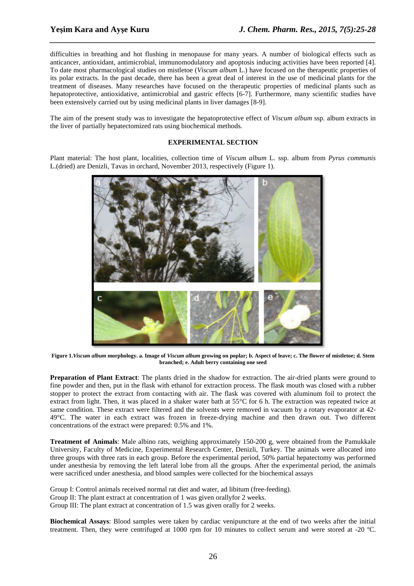difficulties in breathing and hot flushing in menopause for many years. A number of biological effects such as anticancer, antioxidant, antimicrobial, immunomodulatory and apoptosis inducing activities have been reported [4]. To date most pharmacological studies on mistletoe (*Viscum album* L.) have focused on the therapeutic properties of its polar extracts. In the past decade, there has been a great deal of interest in the use of medicinal plants for the treatment of diseases. Many researches have focused on the therapeutic properties of medicinal plants such as hepatoprotective, antioxidative, antimicrobial and gastric effects [6-7]. Furthermore, many scientific studies have been extensively carried out by using medicinal plants in liver damages [8-9].

*\_\_\_\_\_\_\_\_\_\_\_\_\_\_\_\_\_\_\_\_\_\_\_\_\_\_\_\_\_\_\_\_\_\_\_\_\_\_\_\_\_\_\_\_\_\_\_\_\_\_\_\_\_\_\_\_\_\_\_\_\_\_\_\_\_\_\_\_\_\_\_\_\_\_\_\_\_\_*

The aim of the present study was to investigate the hepatoprotective effect of *Viscum album* ssp. album extracts in the liver of partially hepatectomized rats using biochemical methods.

### **EXPERIMENTAL SECTION**

Plant material: The host plant, localities, collection time of *Viscum album* L. ssp. album from *Pyrus communis* L.(dried) are Denizli, Tavas in orchard, November 2013, respectively (Figure 1).



**Figure 1.***Viscum album* **morphology. a. Image of** *Viscum album* **growing on poplar; b. Aspect of leave; c. The flower of mistletoe; d. Stem branched; e. Adult berry containing one seed** 

**Preparation of Plant Extract**: The plants dried in the shadow for extraction. The air-dried plants were ground to fine powder and then, put in the flask with ethanol for extraction process. The flask mouth was closed with a rubber stopper to protect the extract from contacting with air. The flask was covered with aluminum foil to protect the extract from light. Then, it was placed in a shaker water bath at 55°C for 6 h. The extraction was repeated twice at same condition. These extract were filtered and the solvents were removed in vacuum by a rotary evaporator at 42- 49°C. The water in each extract was frozen in freeze-drying machine and then drawn out. Two different concentrations of the extract were prepared: 0.5% and 1%.

**Treatment of Animals**: Male albino rats, weighing approximately 150-200 g, were obtained from the Pamukkale University, Faculty of Medicine, Experimental Research Center, Denizli, Turkey. The animals were allocated into three groups with three rats in each group. Before the experimental period, 50% partial hepatectomy was performed under anesthesia by removing the left lateral lobe from all the groups. After the experimental period, the animals were sacrificed under anesthesia, and blood samples were collected for the biochemical assays

Group I: Control animals received normal rat diet and water, ad libitum (free-feeding). Group II: The plant extract at concentration of 1 was given orallyfor 2 weeks. Group III: The plant extract at concentration of 1.5 was given orally for 2 weeks.

**Biochemical Assays**: Blood samples were taken by cardiac venipuncture at the end of two weeks after the initial treatment. Then, they were centrifuged at 1000 rpm for 10 minutes to collect serum and were stored at -20 ºC.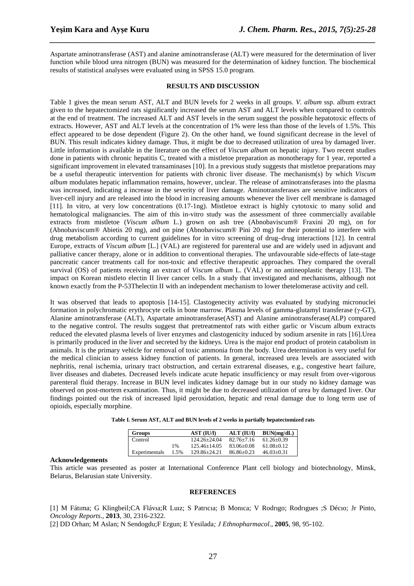Aspartate aminotransferase (AST) and alanine aminotransferase (ALT) were measured for the determination of liver function while blood urea nitrogen (BUN) was measured for the determination of kidney function. The biochemical results of statistical analyses were evaluated using in SPSS 15.0 program.

*\_\_\_\_\_\_\_\_\_\_\_\_\_\_\_\_\_\_\_\_\_\_\_\_\_\_\_\_\_\_\_\_\_\_\_\_\_\_\_\_\_\_\_\_\_\_\_\_\_\_\_\_\_\_\_\_\_\_\_\_\_\_\_\_\_\_\_\_\_\_\_\_\_\_\_\_\_\_*

#### **RESULTS AND DISCUSSION**

Table 1 gives the mean serum AST, ALT and BUN levels for 2 weeks in all groups. *V. album* ssp. album extract given to the hepatectomized rats significantly increased the serum AST and ALT levels when compared to controls at the end of treatment. The increased ALT and AST levels in the serum suggest the possible hepatotoxic effects of extracts. However, AST and ALT levels at the concentration of 1% were less than those of the levels of 1.5%. This effect appeared to be dose dependent (Figure 2). On the other hand, we found significant decrease in the level of BUN. This result indicates kidney damage. Thus, it might be due to decreased utilization of urea by damaged liver. Little information is available in the literature on the effect of *Viscum album* on hepatic injury. Two recent studies done in patients with chronic hepatitis C, treated with a mistletoe preparation as monotherapy for 1 year, reported a significant improvement in elevated transaminases [10]. In a previous study suggests that mistletoe preparations may be a useful therapeutic intervention for patients with chronic liver disease. The mechanism(s) by which *Viscum album* modulates hepatic inflammation remains, however, unclear. The release of aminotransferases into the plasma was increased, indicating a increase in the severity of liver damage. Aminotransferases are sensitive indicators of liver-cell injury and are released into the blood in increasing amounts whenever the liver cell membrane is damaged [11]. In vitro, at very low concentrations (0.17-1ng). Mistletoe extract is highly cytotoxic to many solid and hematological malignancies. The aim of this in-vitro study was the assessment of three commercially available extracts from mistletoe (*Viscum album* L.) grown on ash tree (Abnobaviscum® Fraxini 20 mg), on for (Abnobaviscum® Abietis 20 mg), and on pine (Abnobaviscum® Pini 20 mg) for their potential to interfere with drug metabolism according to current guidelines for in vitro screening of drug–drug interactions [12]. In central Europe, extracts of *Viscum album* [L.] (VAL) are registered for parenteral use and are widely used in adjuvant and palliative cancer therapy, alone or in addition to conventional therapies. The unfavourable side-effects of late-stage pancreatic cancer treatments call for non-toxic and effective therapeutic approaches. They compared the overall survival (OS) of patients receiving an extract of *Viscum album* L. (VAL) or no antineoplastic therapy [13]. The impact on Korean mistleto electin II liver cancer cells. In a study that investigated and mechanisms, although not known exactly from the P-53Thelectin II with an independent mechanism to lower thetelomerase activity and cell.

It was observed that leads to apoptosis [14-15]. Clastogenecity activity was evaluated by studying micronuclei formation in polychromatic erythrocyte cells in bone marrow. Plasma levels of gamma-glutamyl transferase (γ-GT), Alanine aminotransferase (ALT), Aspartate aminotransferase(AST) and Alanine aminotransferase(ALP) compared to the negative control. The results suggest that pretreatmentof rats with either garlic or Viscum album extracts reduced the elevated plasma levels of liver enzymes and clastogenicity induced by sodium arsenite in rats [16].Urea is primarily produced in the liver and secreted by the kidneys. Urea is the major end product of protein catabolism in animals. It is the primary vehicle for removal of toxic ammonia from the body. Urea determination is very useful for the medical clinician to assess kidney function of patients. In general, increased urea levels are associated with nephritis, renal ischemia, urinary tract obstruction, and certain extrarenal diseases, e.g., congestive heart failure, liver diseases and diabetes. Decreased levels indicate acute hepatic insufficiency or may result from over-vigorous parenteral fluid therapy. Increase in BUN level indicates kidney damage but in our study no kidney damage was observed on post-mortem examination. Thus, it might be due to decreased utilization of urea by damaged liver. Our findings pointed out the risk of increased lipid peroxidation, hepatic and renal damage due to long term use of opioids, especially morphine.

|  |  |  |  | Table I. Serum AST, ALT and BUN levels of 2 weeks in partially hepatectomized rats |
|--|--|--|--|------------------------------------------------------------------------------------|
|--|--|--|--|------------------------------------------------------------------------------------|

| <b>Groups</b> |      | <b>AST (IU/I)</b> | <b>ALT (IU/I)</b> | BUN(mg/dL)     |
|---------------|------|-------------------|-------------------|----------------|
| Control       |      | 124.26+24.04      | $82.76 + 7.16$    | $61.26 + 0.39$ |
|               | 1%   | $125.46 + 14.05$  | $83.06 + 0.08$    | $61.08 + 0.12$ |
| Experimentals | 1.5% | 129.86+24.21      | $86.86 + 0.23$    | $46.03+0.31$   |

#### **Acknowledgements**

This article was presented as poster at International Conference Plant cell biology and biotechnology, Minsk, Belarus, Belarusian state University.

#### **REFERENCES**

[1] M Fátıma; G Klingbeil;CA Flávıa;R Luız; S Patrıcıa; B Monıca; V Rodrıgo; Rodrıgues ;S Décıo; Jr Pinto, *Oncology Reports*., **2013**, 30, 2316-2322.

[2] DD Orhan; M Aslan; N Sendogdu;F Ergun; E Yesilada*; J Ethnopharmacol*., **2005**, 98, 95-102.